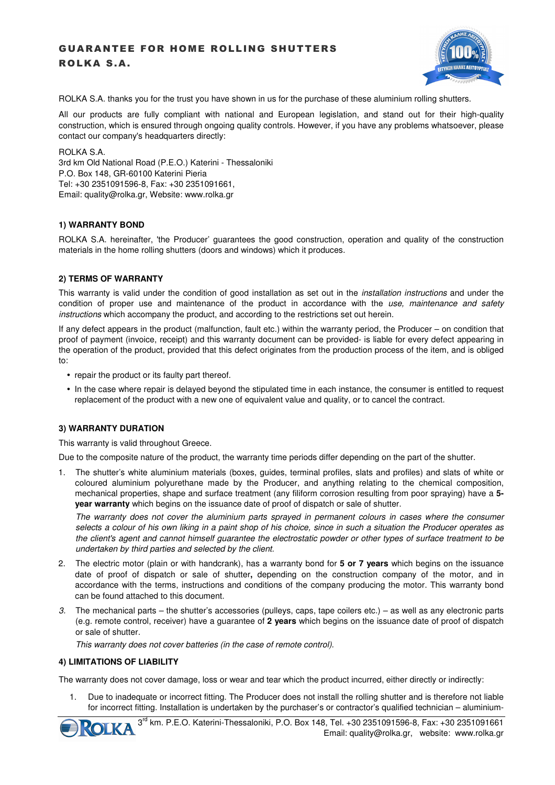# GUARANTEE FOR HOME ROLLING SHUTTERS ROLKA S.A.



ROLKA S.A. thanks you for the trust you have shown in us for the purchase of these aluminium rolling shutters.

All our products are fully compliant with national and European legislation, and stand out for their high-quality construction, which is ensured through ongoing quality controls. However, if you have any problems whatsoever, please contact our company's headquarters directly:

ROLKA S.A.

3rd km Old National Road (P.E.O.) Katerini - Thessaloniki P.O. Box 148, GR-60100 Katerini Pieria Tel: +30 2351091596-8, Fax: +30 2351091661, Εmail: quality@rolka.gr, Website: www.rolka.gr

# **1) WARRANTY BOND**

ROLKA S.A. hereinafter, 'the Producer' guarantees the good construction, operation and quality of the construction materials in the home rolling shutters (doors and windows) which it produces.

# **2) TERMS OF WARRANTY**

This warranty is valid under the condition of good installation as set out in the *installation instructions* and under the condition of proper use and maintenance of the product in accordance with the use, maintenance and safety instructions which accompany the product, and according to the restrictions set out herein.

If any defect appears in the product (malfunction, fault etc.) within the warranty period, the Producer – on condition that proof of payment (invoice, receipt) and this warranty document can be provided- is liable for every defect appearing in the operation of the product, provided that this defect originates from the production process of the item, and is obliged to:

- repair the product or its faulty part thereof.
- In the case where repair is delayed beyond the stipulated time in each instance, the consumer is entitled to request replacement of the product with a new one of equivalent value and quality, or to cancel the contract.

# **3) WARRANTY DURATION**

This warranty is valid throughout Greece.

Due to the composite nature of the product, the warranty time periods differ depending on the part of the shutter.

1. The shutter's white aluminium materials (boxes, guides, terminal profiles, slats and profiles) and slats of white or coloured aluminium polyurethane made by the Producer, and anything relating to the chemical composition, mechanical properties, shape and surface treatment (any filiform corrosion resulting from poor spraying) have a **5 year warranty** which begins on the issuance date of proof of dispatch or sale of shutter.

The warranty does not cover the aluminium parts sprayed in permanent colours in cases where the consumer selects a colour of his own liking in a paint shop of his choice, since in such a situation the Producer operates as the client's agent and cannot himself guarantee the electrostatic powder or other types of surface treatment to be undertaken by third parties and selected by the client.

- 2. The electric motor (plain or with handcrank), has a warranty bond for **5 or 7 years** which begins on the issuance date of proof of dispatch or sale of shutter**,** depending on the construction company of the motor, and in accordance with the terms, instructions and conditions of the company producing the motor. This warranty bond can be found attached to this document.
- 3. The mechanical parts the shutter's accessories (pulleys, caps, tape coilers etc.) as well as any electronic parts (e.g. remote control, receiver) have a guarantee of **2 years** which begins on the issuance date of proof of dispatch or sale of shutter.

This warranty does not cover batteries (in the case of remote control).

# **4) LIMITATIONS OF LIABILITY**

The warranty does not cover damage, loss or wear and tear which the product incurred, either directly or indirectly:

1. Due to inadequate or incorrect fitting. The Producer does not install the rolling shutter and is therefore not liable for incorrect fitting. Installation is undertaken by the purchaser's or contractor's qualified technician – aluminium-